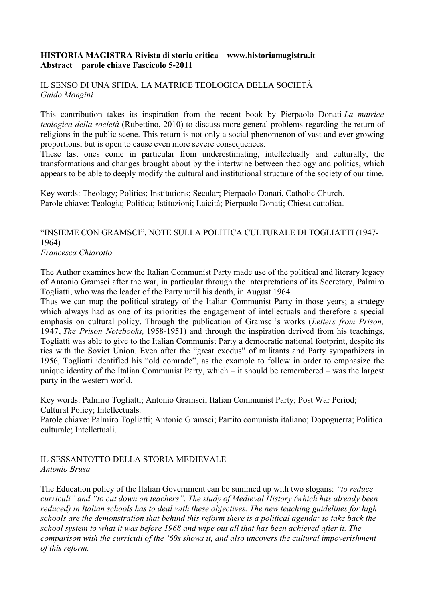## **HISTORIA MAGISTRA Rivista di storia critica – www.historiamagistra.it Abstract + parole chiave Fascicolo 5-2011**

## IL SENSO DI UNA SFIDA. LA MATRICE TEOLOGICA DELLA SOCIETÀ *Guido Mongini*

This contribution takes its inspiration from the recent book by Pierpaolo Donati *La matrice teologica della società* (Rubettino, 2010) to discuss more general problems regarding the return of religions in the public scene. This return is not only a social phenomenon of vast and ever growing proportions, but is open to cause even more severe consequences.

These last ones come in particular from underestimating, intellectually and culturally, the transformations and changes brought about by the intertwine between theology and politics, which appears to be able to deeply modify the cultural and institutional structure of the society of our time.

Key words: Theology; Politics; Institutions; Secular; Pierpaolo Donati, Catholic Church. Parole chiave: Teologia; Politica; Istituzioni; Laicità; Pierpaolo Donati; Chiesa cattolica.

# "INSIEME CON GRAMSCI". NOTE SULLA POLITICA CULTURALE DI TOGLIATTI (1947- 1964)

*Francesca Chiarotto*

The Author examines how the Italian Communist Party made use of the political and literary legacy of Antonio Gramsci after the war, in particular through the interpretations of its Secretary, Palmiro Togliatti, who was the leader of the Party until his death, in August 1964.

Thus we can map the political strategy of the Italian Communist Party in those years; a strategy which always had as one of its priorities the engagement of intellectuals and therefore a special emphasis on cultural policy. Through the publication of Gramsci's works (*Letters from Prison,* 1947, *The Prison Notebooks,* 1958-1951) and through the inspiration derived from his teachings, Togliatti was able to give to the Italian Communist Party a democratic national footprint, despite its ties with the Soviet Union. Even after the "great exodus" of militants and Party sympathizers in 1956, Togliatti identified his "old comrade", as the example to follow in order to emphasize the unique identity of the Italian Communist Party, which – it should be remembered – was the largest party in the western world.

Key words: Palmiro Togliatti; Antonio Gramsci; Italian Communist Party; Post War Period; Cultural Policy; Intellectuals.

Parole chiave: Palmiro Togliatti; Antonio Gramsci; Partito comunista italiano; Dopoguerra; Politica culturale; Intellettuali.

## IL SESSANTOTTO DELLA STORIA MEDIEVALE *Antonio Brusa*

The Education policy of the Italian Government can be summed up with two slogans: *"to reduce curriculi" and "to cut down on teachers". The study of Medieval History (which has already been reduced) in Italian schools has to deal with these objectives. The new teaching guidelines for high schools are the demonstration that behind this reform there is a political agenda: to take back the school system to what it was before 1968 and wipe out all that has been achieved after it. The comparison with the curriculi of the '60s shows it, and also uncovers the cultural impoverishment of this reform.*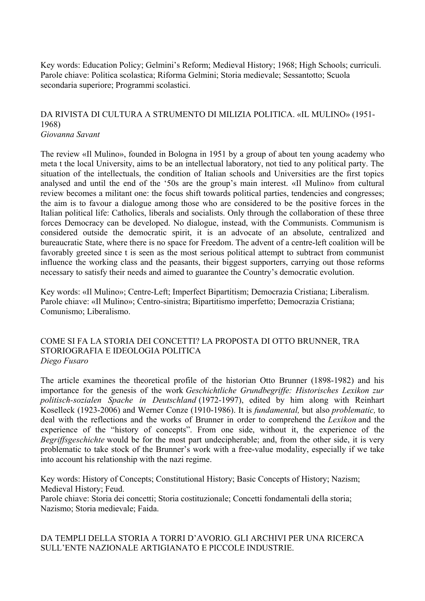Key words: Education Policy; Gelmini's Reform; Medieval History; 1968; High Schools; curriculi. Parole chiave: Politica scolastica; Riforma Gelmini; Storia medievale; Sessantotto; Scuola secondaria superiore; Programmi scolastici.

## DA RIVISTA DI CULTURA A STRUMENTO DI MILIZIA POLITICA. «IL MULINO» (1951- 1968) *Giovanna Savant*

The review «Il Mulino», founded in Bologna in 1951 by a group of about ten young academy who meta t the local University, aims to be an intellectual laboratory, not tied to any political party. The situation of the intellectuals, the condition of Italian schools and Universities are the first topics analysed and until the end of the '50s are the group's main interest. «Il Mulino» from cultural review becomes a militant one: the focus shift towards political parties, tendencies and congresses; the aim is to favour a dialogue among those who are considered to be the positive forces in the Italian political life: Catholics, liberals and socialists. Only through the collaboration of these three forces Democracy can be developed. No dialogue, instead, with the Communists. Communism is considered outside the democratic spirit, it is an advocate of an absolute, centralized and bureaucratic State, where there is no space for Freedom. The advent of a centre-left coalition will be favorably greeted since t is seen as the most serious political attempt to subtract from communist influence the working class and the peasants, their biggest supporters, carrying out those reforms necessary to satisfy their needs and aimed to guarantee the Country's democratic evolution.

Key words: «Il Mulino»; Centre-Left; Imperfect Bipartitism; Democrazia Cristiana; Liberalism. Parole chiave: «Il Mulino»; Centro-sinistra; Bipartitismo imperfetto; Democrazia Cristiana; Comunismo; Liberalismo.

#### COME SI FA LA STORIA DEI CONCETTI? LA PROPOSTA DI OTTO BRUNNER, TRA STORIOGRAFIA E IDEOLOGIA POLITICA *Diego Fusaro*

The article examines the theoretical profile of the historian Otto Brunner (1898-1982) and his importance for the genesis of the work *Geschichtliche Grundbegriffe: Historisches Lexikon zur politisch-sozialen Spache in Deutschland* (1972-1997), edited by him along with Reinhart Koselleck (1923-2006) and Werner Conze (1910-1986). It is *fundamental,* but also *problematic,* to deal with the reflections and the works of Brunner in order to comprehend the *Lexikon* and the experience of the "history of concepts". From one side, without it, the experience of the *Begriffsgeschichte* would be for the most part undecipherable; and, from the other side, it is very problematic to take stock of the Brunner's work with a free-value modality, especially if we take into account his relationship with the nazi regime.

Key words: History of Concepts; Constitutional History; Basic Concepts of History; Nazism; Medieval History; Feud. Parole chiave: Storia dei concetti; Storia costituzionale; Concetti fondamentali della storia; Nazismo; Storia medievale; Faida.

DA TEMPLI DELLA STORIA A TORRI D'AVORIO. GLI ARCHIVI PER UNA RICERCA SULL'ENTE NAZIONALE ARTIGIANATO E PICCOLE INDUSTRIE.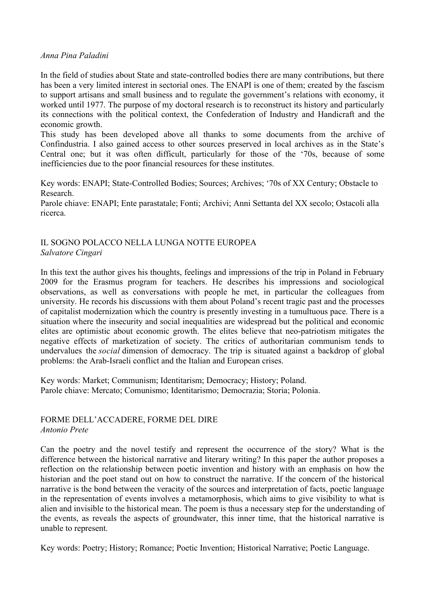#### *Anna Pina Paladini*

In the field of studies about State and state-controlled bodies there are many contributions, but there has been a very limited interest in sectorial ones. The ENAPI is one of them; created by the fascism to support artisans and small business and to regulate the government's relations with economy, it worked until 1977. The purpose of my doctoral research is to reconstruct its history and particularly its connections with the political context, the Confederation of Industry and Handicraft and the economic growth.

This study has been developed above all thanks to some documents from the archive of Confindustria. I also gained access to other sources preserved in local archives as in the State's Central one; but it was often difficult, particularly for those of the '70s, because of some inefficiencies due to the poor financial resources for these institutes.

Key words: ENAPI; State-Controlled Bodies; Sources; Archives; '70s of XX Century; Obstacle to Research.

Parole chiave: ENAPI; Ente parastatale; Fonti; Archivi; Anni Settanta del XX secolo; Ostacoli alla ricerca.

## IL SOGNO POLACCO NELLA LUNGA NOTTE EUROPEA *Salvatore Cingari*

In this text the author gives his thoughts, feelings and impressions of the trip in Poland in February 2009 for the Erasmus program for teachers. He describes his impressions and sociological observations, as well as conversations with people he met, in particular the colleagues from university. He records his discussions with them about Poland's recent tragic past and the processes of capitalist modernization which the country is presently investing in a tumultuous pace. There is a situation where the insecurity and social inequalities are widespread but the political and economic elites are optimistic about economic growth. The elites believe that neo-patriotism mitigates the negative effects of marketization of society. The critics of authoritarian communism tends to undervalues the *social* dimension of democracy. The trip is situated against a backdrop of global problems: the Arab-Israeli conflict and the Italian and European crises.

Key words: Market; Communism; Identitarism; Democracy; History; Poland. Parole chiave: Mercato; Comunismo; Identitarismo; Democrazia; Storia; Polonia.

## FORME DELL'ACCADERE, FORME DEL DIRE *Antonio Prete*

Can the poetry and the novel testify and represent the occurrence of the story? What is the difference between the historical narrative and literary writing? In this paper the author proposes a reflection on the relationship between poetic invention and history with an emphasis on how the historian and the poet stand out on how to construct the narrative. If the concern of the historical narrative is the bond between the veracity of the sources and interpretation of facts, poetic language in the representation of events involves a metamorphosis, which aims to give visibility to what is alien and invisible to the historical mean. The poem is thus a necessary step for the understanding of the events, as reveals the aspects of groundwater, this inner time, that the historical narrative is unable to represent.

Key words: Poetry; History; Romance; Poetic Invention; Historical Narrative; Poetic Language.